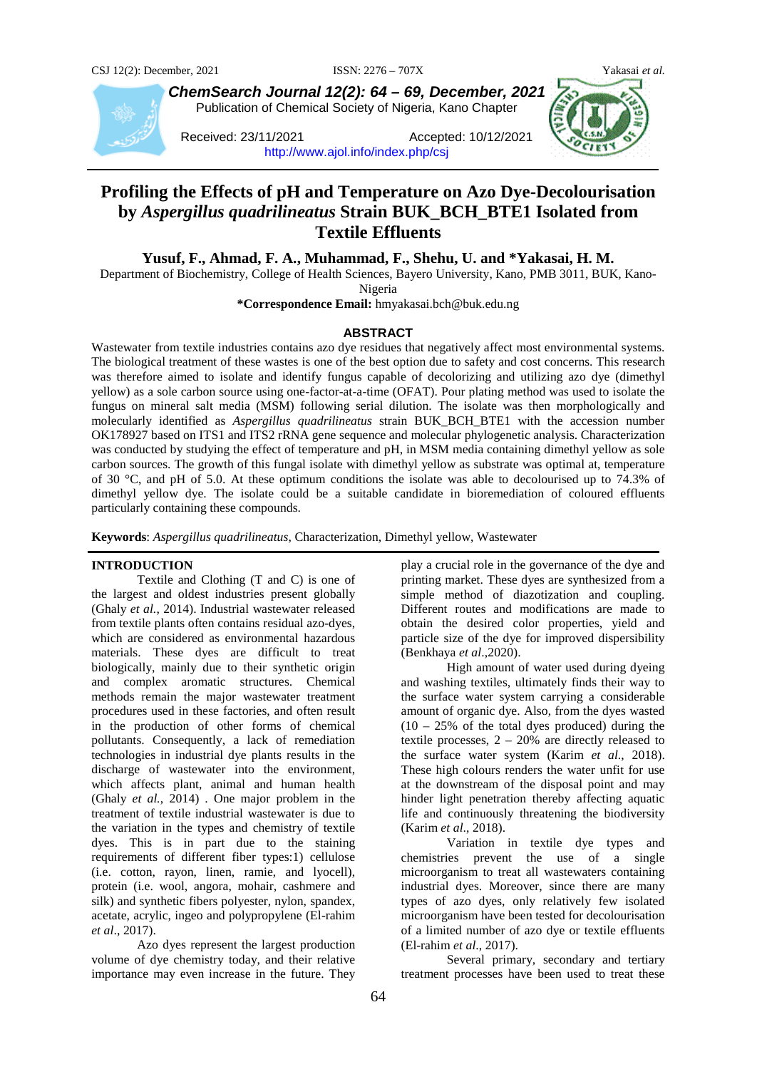

*ChemSearch Journal 12(2): 64 – 69, December, 2021* Publication of Chemical Society of Nigeria, Kano Chapter

Received: 23/11/2021 Accepted: 10/12/2021 <http://www.ajol.info/index.php/csj>



# **Profiling the Effects of pH and Temperature on Azo Dye-Decolourisation by** *Aspergillus quadrilineatus* **Strain BUK\_BCH\_BTE1 Isolated from Textile Effluents**

**Yusuf, F., Ahmad, F. A., Muhammad, F., Shehu, U. and \*Yakasai, H. M.**

Department of Biochemistry, College of Health Sciences, Bayero University, Kano, PMB 3011, BUK, Kano-Nigeria

**\*Correspondence Email:** hmyakasai.bch@buk.edu.ng

#### **ABSTRACT**

Wastewater from textile industries contains azo dye residues that negatively affect most environmental systems. The biological treatment of these wastes is one of the best option due to safety and cost concerns. This research was therefore aimed to isolate and identify fungus capable of decolorizing and utilizing azo dye (dimethyl yellow) as a sole carbon source using one-factor-at-a-time (OFAT). Pour plating method was used to isolate the fungus on mineral salt media (MSM) following serial dilution. The isolate was then morphologically and molecularly identified as *Aspergillus quadrilineatus* strain BUK\_BCH\_BTE1 with the accession number OK178927 based on ITS1 and ITS2 rRNA gene sequence and molecular phylogenetic analysis. Characterization was conducted by studying the effect of temperature and pH, in MSM media containing dimethyl yellow as sole carbon sources. The growth of this fungal isolate with dimethyl yellow as substrate was optimal at, temperature of 30 °C, and pH of 5.0. At these optimum conditions the isolate was able to decolourised up to 74.3% of dimethyl yellow dye. The isolate could be a suitable candidate in bioremediation of coloured effluents particularly containing these compounds.

**Keywords**: *Aspergillus quadrilineatus*, Characterization, Dimethyl yellow, Wastewater

## **INTRODUCTION**

Textile and Clothing (T and C) is one of the largest and oldest industries present globally (Ghaly *et al.*, 2014). Industrial wastewater released from textile plants often contains residual azo-dyes, which are considered as environmental hazardous materials. These dyes are difficult to treat biologically, mainly due to their synthetic origin and complex aromatic structures. Chemical methods remain the major wastewater treatment procedures used in these factories, and often result in the production of other forms of chemical pollutants. Consequently, a lack of remediation technologies in industrial dye plants results in the discharge of wastewater into the environment, which affects plant, animal and human health (Ghaly *et al.*, 2014) . One major problem in the treatment of textile industrial wastewater is due to the variation in the types and chemistry of textile dyes. This is in part due to the staining requirements of different fiber types:1) cellulose (i.e. cotton, rayon, linen, ramie, and lyocell), protein (i.e. wool, angora, mohair, cashmere and silk) and synthetic fibers polyester, nylon, spandex, acetate, acrylic, ingeo and polypropylene (El-rahim *et al*., 2017).

Azo dyes represent the largest production volume of dye chemistry today, and their relative importance may even increase in the future. They play a crucial role in the governance of the dye and printing market. These dyes are synthesized from a simple method of diazotization and coupling. Different routes and modifications are made to obtain the desired color properties, yield and particle size of the dye for improved dispersibility (Benkhaya *et al*.,2020).

High amount of water used during dyeing and washing textiles, ultimately finds their way to the surface water system carrying a considerable amount of organic dye. Also, from the dyes wasted  $(10 - 25\%$  of the total dyes produced) during the textile processes,  $2 - 20\%$  are directly released to the surface water system (Karim *et al*., 2018). These high colours renders the water unfit for use at the downstream of the disposal point and may hinder light penetration thereby affecting aquatic life and continuously threatening the biodiversity (Karim *et al*., 2018).

Variation in textile dye types and chemistries prevent the use of a single microorganism to treat all wastewaters containing industrial dyes. Moreover, since there are many types of azo dyes, only relatively few isolated microorganism have been tested for decolourisation of a limited number of azo dye or textile effluents (El-rahim *et al*., 2017).

Several primary, secondary and tertiary treatment processes have been used to treat these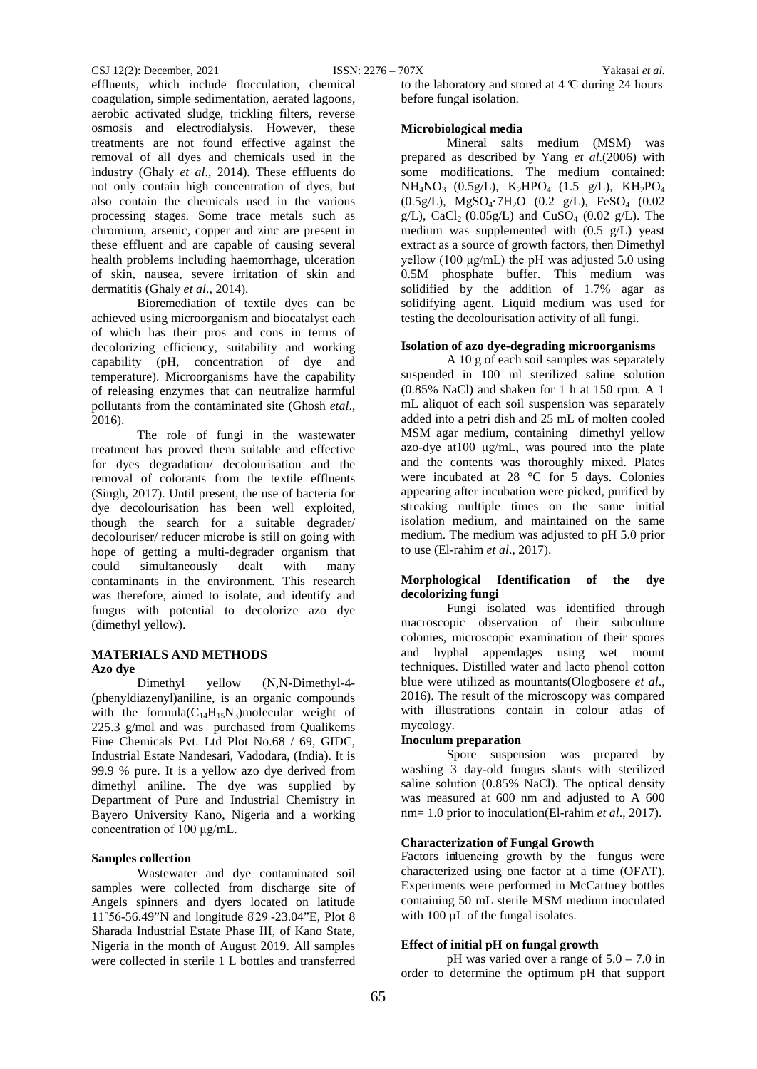effluents, which include flocculation, chemical coagulation, simple sedimentation, aerated lagoons, aerobic activated sludge, trickling filters, reverse osmosis and electrodialysis. However, these treatments are not found effective against the removal of all dyes and chemicals used in the industry (Ghaly *et al*., 2014). These effluents do not only contain high concentration of dyes, but also contain the chemicals used in the various processing stages. Some trace metals such as chromium, arsenic, copper and zinc are present in these effluent and are capable of causing several health problems including haemorrhage, ulceration of skin, nausea, severe irritation of skin and dermatitis (Ghaly *et al*., 2014).

Bioremediation of textile dyes can be achieved using microorganism and biocatalyst each of which has their pros and cons in terms of decolorizing efficiency, suitability and working capability (pH, concentration of dye and temperature). Microorganisms have the capability of releasing enzymes that can neutralize harmful pollutants from the contaminated site (Ghosh *etal*., 2016).

The role of fungi in the wastewater treatment has proved them suitable and effective for dyes degradation/ decolourisation and the removal of colorants from the textile effluents (Singh, 2017). Until present, the use of bacteria for dye decolourisation has been well exploited, though the search for a suitable degrader/ decolouriser/ reducer microbe is still on going with hope of getting a multi-degrader organism that could simultaneously dealt with many contaminants in the environment. This research was therefore, aimed to isolate, and identify and fungus with potential to decolorize azo dye (dimethyl yellow).

# **MATERIALS AND METHODS Azo dye**

Dimethyl yellow (N,N-Dimethyl-4- (phenyldiazenyl)aniline, is an organic compounds with the formula $(C_{14}H_{15}N_3)$ molecular weight of 225.3 g/mol and was purchased from Qualikems Fine Chemicals Pvt. Ltd Plot No.68 / 69, GIDC, Industrial Estate Nandesari, Vadodara, (India). It is 99.9 % pure. It is a yellow azo dye derived from dimethyl aniline. The dye was supplied by Department of Pure and Industrial Chemistry in Bayero University Kano, Nigeria and a working concentration of 100 μg/mL.

# **Samples collection**

Wastewater and dye contaminated soil samples were collected from discharge site of Angels spinners and dyers located on latitude 11°56-56.49"N and longitude 829 -23.04"E, Plot 8 Sharada Industrial Estate Phase III, of Kano State, Nigeria in the month of August 2019. All samples were collected in sterile 1 L bottles and transferred

to the laboratory and stored at 4 ℃ during 24 hours before fungal isolation.

#### **Microbiological media**

Mineral salts medium (MSM) was prepared as described by Yang *et al*.(2006) with some modifications. The medium contained:  $NH_4NO_3$  (0.5g/L),  $K_2HPO_4$  (1.5 g/L),  $KH_2PO_4$  $(0.5g/L)$ , MgSO<sub>4</sub>·7H<sub>2</sub>O  $(0.2 g/L)$ , FeSO<sub>4</sub>  $(0.02 g/L)$ g/L), CaCl<sub>2</sub> (0.05g/L) and CuSO<sub>4</sub> (0.02 g/L). The medium was supplemented with  $(0.5 \text{ g/L})$  yeast extract as a source of growth factors, then Dimethyl yellow (100 μg/mL) the pH was adjusted 5.0 using 0.5M phosphate buffer. This medium was solidified by the addition of 1.7% agar as solidifying agent. Liquid medium was used for testing the decolourisation activity of all fungi.

#### **Isolation of azo dye-degrading microorganisms**

A 10 g of each soil samples was separately suspended in 100 ml sterilized saline solution (0.85% NaCl) and shaken for 1 h at 150 rpm. A 1 mL aliquot of each soil suspension was separately added into a petri dish and 25 mL of molten cooled MSM agar medium, containing dimethyl yellow azo-dye at100 μg/mL, was poured into the plate and the contents was thoroughly mixed. Plates were incubated at 28 °C for 5 days. Colonies appearing after incubation were picked, purified by streaking multiple times on the same initial isolation medium, and maintained on the same medium. The medium was adjusted to pH 5.0 prior to use (El-rahim *et al*., 2017).

#### **Morphological Identification of the dye decolorizing fungi**

Fungi isolated was identified through macroscopic observation of their subculture colonies, microscopic examination of their spores and hyphal appendages using wet mount techniques. Distilled water and lacto phenol cotton blue were utilized as mountants(Ologbosere *et al*., 2016). The result of the microscopy was compared with illustrations contain in colour atlas of mycology.

#### **Inoculum preparation**

Spore suspension was prepared by washing 3 day-old fungus slants with sterilized saline solution (0.85% NaCl). The optical density was measured at 600 nm and adjusted to A 600 nm= 1.0 prior to inoculation(El-rahim *et al*., 2017).

# **Characterization of Fungal Growth**

Factors influencing growth by the fungus were characterized using one factor at a time (OFAT). Experiments were performed in McCartney bottles containing 50 mL sterile MSM medium inoculated with 100  $\mu$ L of the fungal isolates.

# **Effect of initial pH on fungal growth**

pH was varied over a range of 5.0 – 7.0 in order to determine the optimum pH that support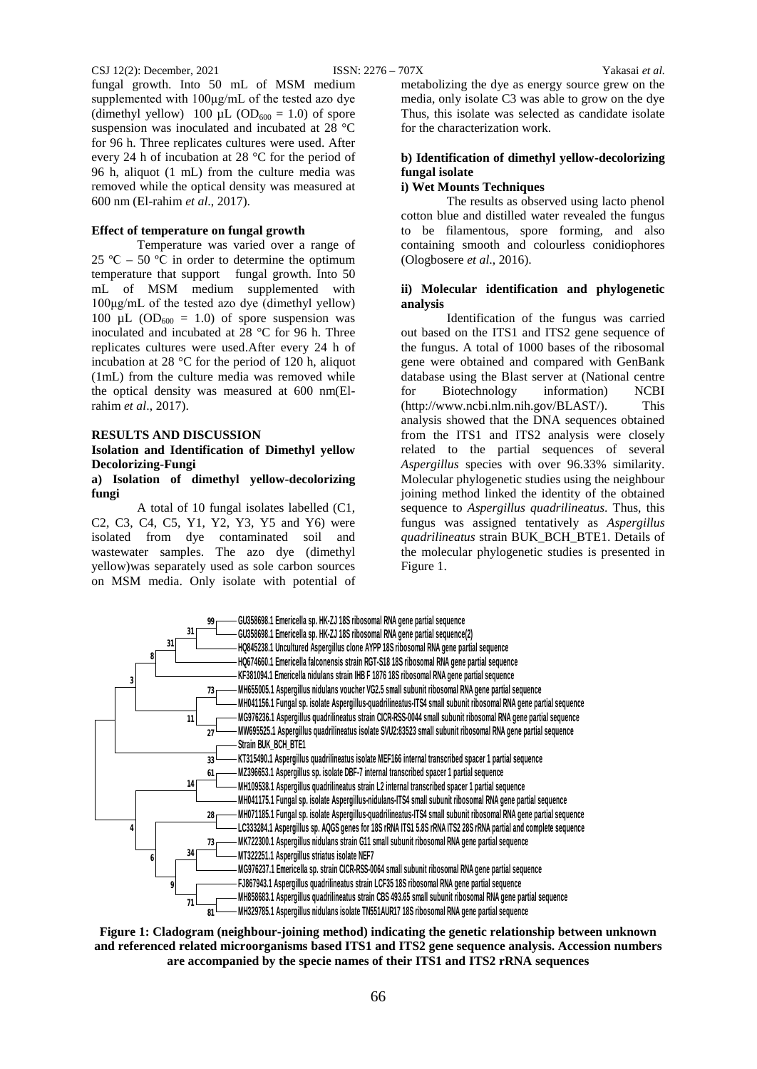#### CSJ 12(2): December, 2021 ISSN: 2276 – 707X Yakasai *et al.*

fungal growth. Into 50 mL of MSM medium supplemented with 100μg/mL of the tested azo dye (dimethyl yellow) 100  $\mu$ L (OD<sub>600</sub> = 1.0) of spore suspension was inoculated and incubated at 28 °C for 96 h. Three replicates cultures were used. After every 24 h of incubation at 28 °C for the period of 96 h, aliquot (1 mL) from the culture media was removed while the optical density was measured at 600 nm (El-rahim *et al*., 2017).

## **Effect of temperature on fungal growth**

Temperature was varied over a range of 25 °C – 50 °C in order to determine the optimum temperature that support fungal growth. Into 50 mL of MSM medium supplemented with 100μg/mL of the tested azo dye (dimethyl yellow) 100 µL ( $OD_{600} = 1.0$ ) of spore suspension was inoculated and incubated at 28 °C for 96 h. Three replicates cultures were used.After every 24 h of incubation at 28 °C for the period of 120 h, aliquot (1mL) from the culture media was removed while the optical density was measured at 600 nm(Elrahim *et al*., 2017).

#### **RESULTS AND DISCUSSION**

#### **Isolation and Identification of Dimethyl yellow Decolorizing-Fungi**

## **a) Isolation of dimethyl yellow-decolorizing fungi**

A total of 10 fungal isolates labelled (C1, C2, C3, C4, C5, Y1, Y2, Y3, Y5 and Y6) were isolated from dye contaminated soil and wastewater samples. The azo dye (dimethyl yellow)was separately used as sole carbon sources on MSM media. Only isolate with potential of metabolizing the dye as energy source grew on the media, only isolate C3 was able to grow on the dye Thus, this isolate was selected as candidate isolate for the characterization work.

## **b) Identification of dimethyl yellow-decolorizing fungal isolate**

# **i) Wet Mounts Techniques**

The results as observed using lacto phenol cotton blue and distilled water revealed the fungus to be filamentous, spore forming, and also containing smooth and colourless conidiophores (Ologbosere *et al*., 2016).

#### **ii) Molecular identification and phylogenetic analysis**

Identification of the fungus was carried out based on the ITS1 and ITS2 gene sequence of the fungus. A total of 1000 bases of the ribosomal gene were obtained and compared with GenBank database using the Blast server at (National centre for Biotechnology information) NCBI (http://www.ncbi.nlm.nih.gov/BLAST/). This analysis showed that the DNA sequences obtained from the ITS1 and ITS2 analysis were closely related to the partial sequences of several *Aspergillus* species with over 96.33% similarity. Molecular phylogenetic studies using the neighbour joining method linked the identity of the obtained sequence to *Aspergillus quadrilineatus*. Thus, this fungus was assigned tentatively as *Aspergillus quadrilineatus* strain BUK\_BCH\_BTE1. Details of the molecular phylogenetic studies is presented in Figure 1.



**Figure 1: Cladogram (neighbour-joining method) indicating the genetic relationship between unknown and referenced related microorganisms based ITS1 and ITS2 gene sequence analysis. Accession numbers are accompanied by the specie names of their ITS1 and ITS2 rRNA sequences**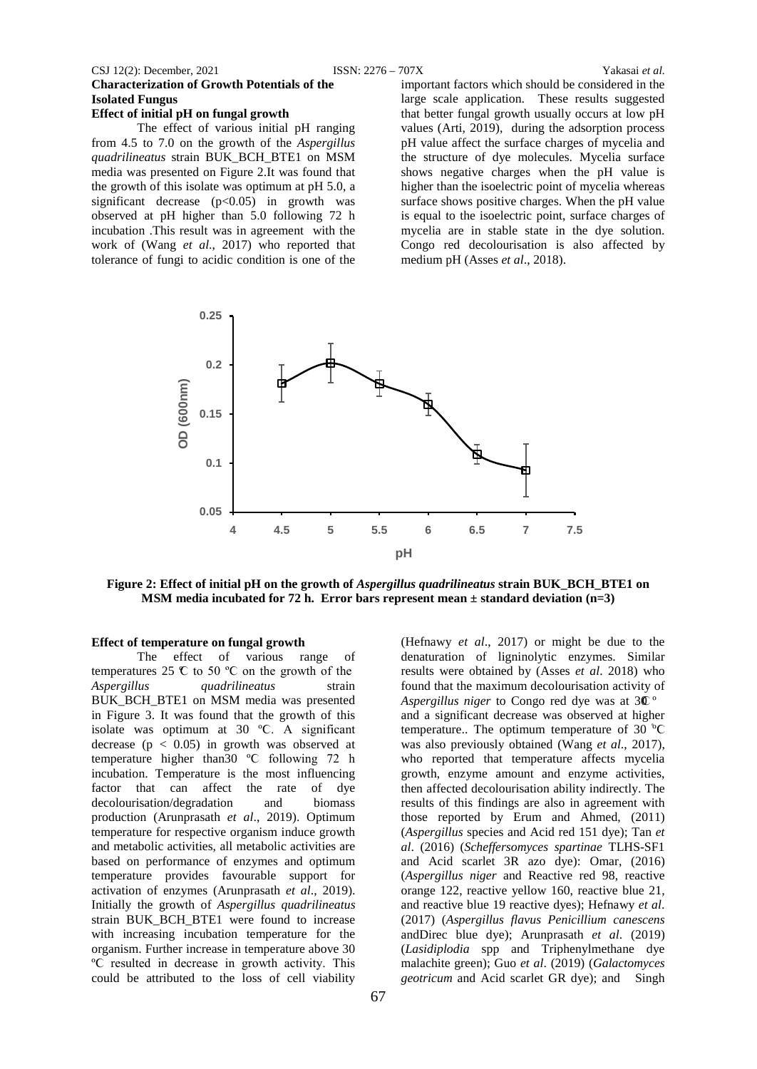#### CSJ 12(2): December, 2021 ISSN: 2276 – 707X Yakasai *et al.*

# **Characterization of Growth Potentials of the Isolated Fungus**

#### **Effect of initial pH on fungal growth**

The effect of various initial pH ranging from 4.5 to 7.0 on the growth of the *Aspergillus quadrilineatus* strain BUK\_BCH\_BTE1 on MSM media was presented on Figure 2.It was found that the growth of this isolate was optimum at pH 5.0, a significant decrease  $(p<0.05)$  in growth was observed at pH higher than 5.0 following 72 h incubation .This result was in agreement with the work of (Wang *et al*., 2017) who reported that tolerance of fungi to acidic condition is one of the

important factors which should be considered in the large scale application. These results suggested that better fungal growth usually occurs at low pH values (Arti, 2019), during the adsorption process pH value affect the surface charges of mycelia and the structure of dye molecules. Mycelia surface shows negative charges when the pH value is higher than the isoelectric point of mycelia whereas surface shows positive charges. When the pH value is equal to the isoelectric point, surface charges of mycelia are in stable state in the dye solution. Congo red decolourisation is also affected by medium pH (Asses *et al*., 2018).



**Figure 2: Effect of initial pH on the growth of** *Aspergillus quadrilineatus* **strain BUK\_BCH\_BTE1 on MSM media incubated for 72 h. Error bars represent mean ± standard deviation (n=3)**

#### **Effect of temperature on fungal growth**

The effect of various range of temperatures 25 ºϹ to 50 ºϹ on the growth of the *Aspergillus quadrilineatus* strain BUK\_BCH\_BTE1 on MSM media was presented in Figure 3. It was found that the growth of this isolate was optimum at 30 ºϹ. A significant decrease ( $p < 0.05$ ) in growth was observed at temperature higher than30 ºϹ following 72 h incubation. Temperature is the most influencing factor that can affect the rate of dye decolourisation/degradation and biomass production (Arunprasath *et al*., 2019). Optimum temperature for respective organism induce growth and metabolic activities, all metabolic activities are based on performance of enzymes and optimum temperature provides favourable support for activation of enzymes (Arunprasath *et al*., 2019). Initially the growth of *Aspergillus quadrilineatus* strain BUK\_BCH\_BTE1 were found to increase with increasing incubation temperature for the organism. Further increase in temperature above 30 ºϹ resulted in decrease in growth activity. This could be attributed to the loss of cell viability

(Hefnawy *et al*., 2017) or might be due to the denaturation of ligninolytic enzymes. Similar results were obtained by (Asses *et al*. 2018) who found that the maximum decolourisation activity of *Aspergillus niger* to Congo red dye was at 30<sup>°</sup> and a significant decrease was observed at higher temperature.. The optimum temperature of 30 °C was also previously obtained (Wang *et al*., 2017), who reported that temperature affects mycelia growth, enzyme amount and enzyme activities, then affected decolourisation ability indirectly. The results of this findings are also in agreement with those reported by Erum and Ahmed, (2011) (*Aspergillus* species and Acid red 151 dye); Tan *et al*. (2016) (*Scheffersomyces spartinae* TLHS-SF1 and Acid scarlet 3R azo dye): Omar, (2016) (*Aspergillus niger* and Reactive red 98, reactive orange 122, reactive yellow 160, reactive blue 21, and reactive blue 19 reactive dyes); Hefnawy *et al*. (2017) (*Aspergillus flavus Penicillium canescens*  andDirec blue dye); Arunprasath *et al*. (2019) (*Lasidiplodia* spp and Triphenylmethane dye malachite green); Guo *et al*. (2019) (*Galactomyces geotricum* and Acid scarlet GR dye); and Singh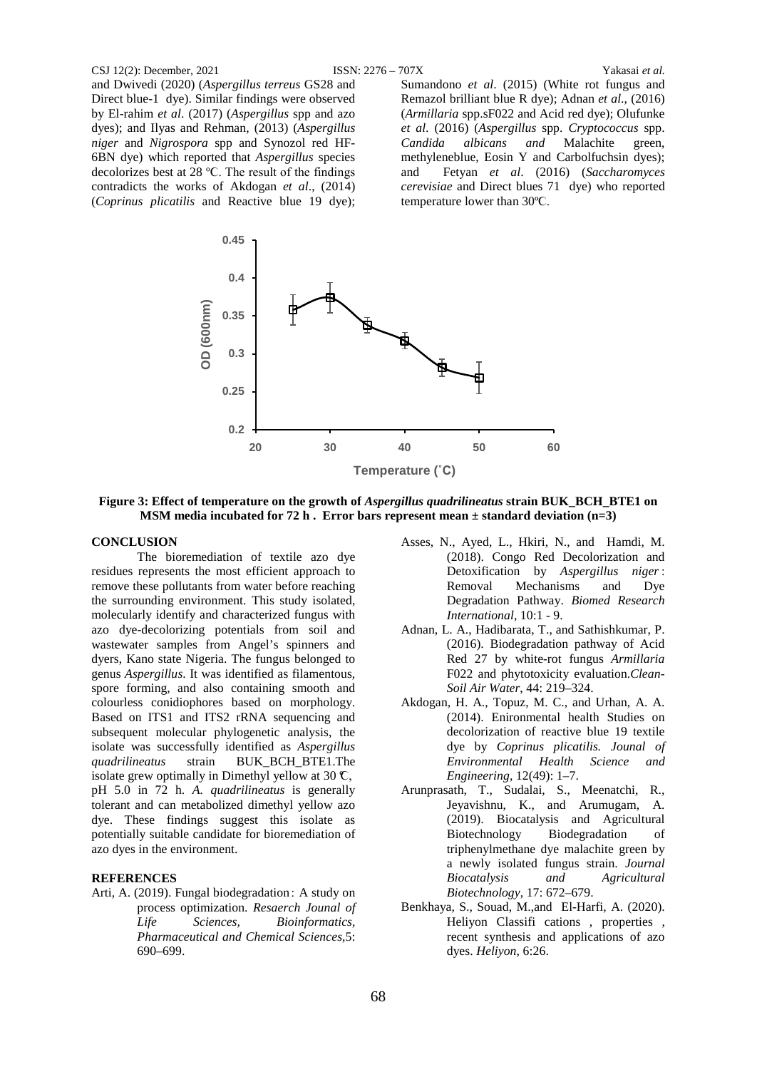#### CSJ 12(2): December, 2021 ISSN: 2276 – 707X Yakasai *et al.*

and Dwivedi (2020) (*Aspergillus terreus* GS28 and Direct blue-1 dye). Similar findings were observed by El-rahim *et al*. (2017) (*Aspergillus* spp and azo dyes); and Ilyas and Rehman, (2013) (*Aspergillus niger* and *Nigrospora* spp and Synozol red HF-6BN dye) which reported that *Aspergillus* species decolorizes best at 28 ºϹ. The result of the findings contradicts the works of Akdogan *et al*., (2014) (*Coprinus plicatilis* and Reactive blue 19 dye); Sumandono *et al*. (2015) (White rot fungus and Remazol brilliant blue R dye); Adnan *et al*., (2016) (*Armillaria* spp.sF022 and Acid red dye); Olufunke *et al*. (2016) (*Aspergillus* spp. *Cryptococcus* spp. *Candida albicans and* Malachite green, methyleneblue, Eosin Y and Carbolfuchsin dyes); and Fetyan *et al*. (2016) (*Saccharomyces cerevisiae* and Direct blues 71 dye) who reported temperature lower than 30ºϹ.



**Figure 3: Effect of temperature on the growth of** *Aspergillus quadrilineatus* **strain BUK\_BCH\_BTE1 on MSM media incubated for 72 h . Error bars represent mean ± standard deviation (n=3)**

#### **CONCLUSION**

The bioremediation of textile azo dye residues represents the most efficient approach to remove these pollutants from water before reaching the surrounding environment. This study isolated, molecularly identify and characterized fungus with azo dye-decolorizing potentials from soil and wastewater samples from Angel's spinners and dyers, Kano state Nigeria. The fungus belonged to genus *Aspergillus*. It was identified as filamentous, spore forming, and also containing smooth and colourless conidiophores based on morphology. Based on ITS1 and ITS2 rRNA sequencing and subsequent molecular phylogenetic analysis, the isolate was successfully identified as *Aspergillus quadrilineatus* strain BUK\_BCH\_BTE1.The isolate grew optimally in Dimethyl yellow at 30  $\mathbb{C}$ , pH 5.0 in 72 h. *A. quadrilineatus* is generally tolerant and can metabolized dimethyl yellow azo dye. These findings suggest this isolate as potentially suitable candidate for bioremediation of azo dyes in the environment.

#### **REFERENCES**

Arti, A. (2019). Fungal biodegradation : A study on process optimization. *Resaerch Jounal of Life Sciences, Bioinformatics, Pharmaceutical and Chemical Sciences*,5: 690–699.

- Asses, N., Ayed, L., Hkiri, N., and Hamdi, M. (2018). Congo Red Decolorization and Detoxification by *Aspergillus niger* : Removal Mechanisms and Dye Degradation Pathway. *Biomed Research International*, 10:1 - 9.
- Adnan, L. A., Hadibarata, T., and Sathishkumar, P. (2016). Biodegradation pathway of Acid Red 27 by white-rot fungus *Armillaria* F022 and phytotoxicity evaluation.*Clean-Soil Air Water*, 44: 219–324.
- Akdogan, H. A., Topuz, M. C., and Urhan, A. A. (2014). Enironmental health Studies on decolorization of reactive blue 19 textile dye by *Coprinus plicatilis. Jounal of Environmental Health Science and Engineering,* 12(49): 1–7.
- Arunprasath, T., Sudalai, S., Meenatchi, R., Jeyavishnu, K., and Arumugam, A. (2019). Biocatalysis and Agricultural Biotechnology Biodegradation of triphenylmethane dye malachite green by a newly isolated fungus strain. *Journal Biocatalysis and Agricultural Biotechnology*, 17: 672–679.
- Benkhaya, S., Souad, M.,and El-Harfi, A. (2020). Heliyon Classifi cations , properties , recent synthesis and applications of azo dyes. *Heliyon*, 6:26.